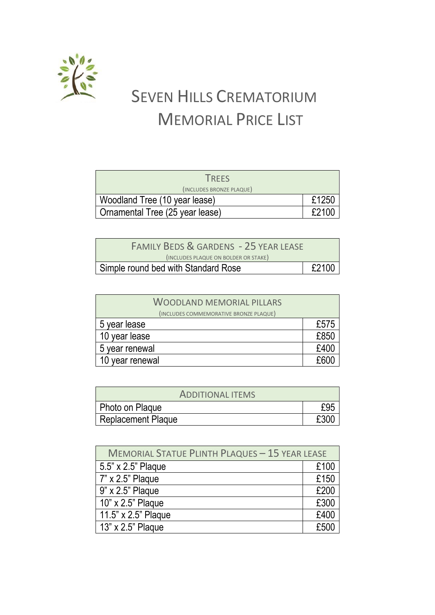

## SEVEN HILLS CREMATORIUM MEMORIAL PRICE LIST

| <b>TREES</b>                    |       |
|---------------------------------|-------|
| (INCLUDES BRONZE PLAQUE)        |       |
| Woodland Tree (10 year lease)   | £1250 |
| Ornamental Tree (25 year lease) | £2100 |

| <b>FAMILY BEDS &amp; GARDENS - 25 YEAR LEASE</b> |       |
|--------------------------------------------------|-------|
| (INCLUDES PLAQUE ON BOLDER OR STAKE)             |       |
| Simple round bed with Standard Rose              | £2100 |

| <b>WOODLAND MEMORIAL PILLARS</b>       |      |
|----------------------------------------|------|
| (INCLUDES COMMEMORATIVE BRONZE PLAQUE) |      |
| 5 year lease                           | £575 |
| 10 year lease                          | £850 |
| 5 year renewal                         | £400 |
| 10 year renewal                        | £600 |

| <b>ADDITIONAL ITEMS</b> |     |
|-------------------------|-----|
| Photo on Plaque         |     |
| Replacement Plaque      | £30 |

| <b>MEMORIAL STATUE PLINTH PLAQUES - 15 YEAR LEASE</b> |      |
|-------------------------------------------------------|------|
| 5.5" x 2.5" Plaque                                    | £100 |
| 7" x 2.5" Plaque                                      | £150 |
| 9" x 2.5" Plaque                                      | £200 |
| 10" x 2.5" Plaque                                     | £300 |
| 11.5" x 2.5" Plaque                                   | £400 |
| 13" x 2.5" Plaque                                     | £500 |